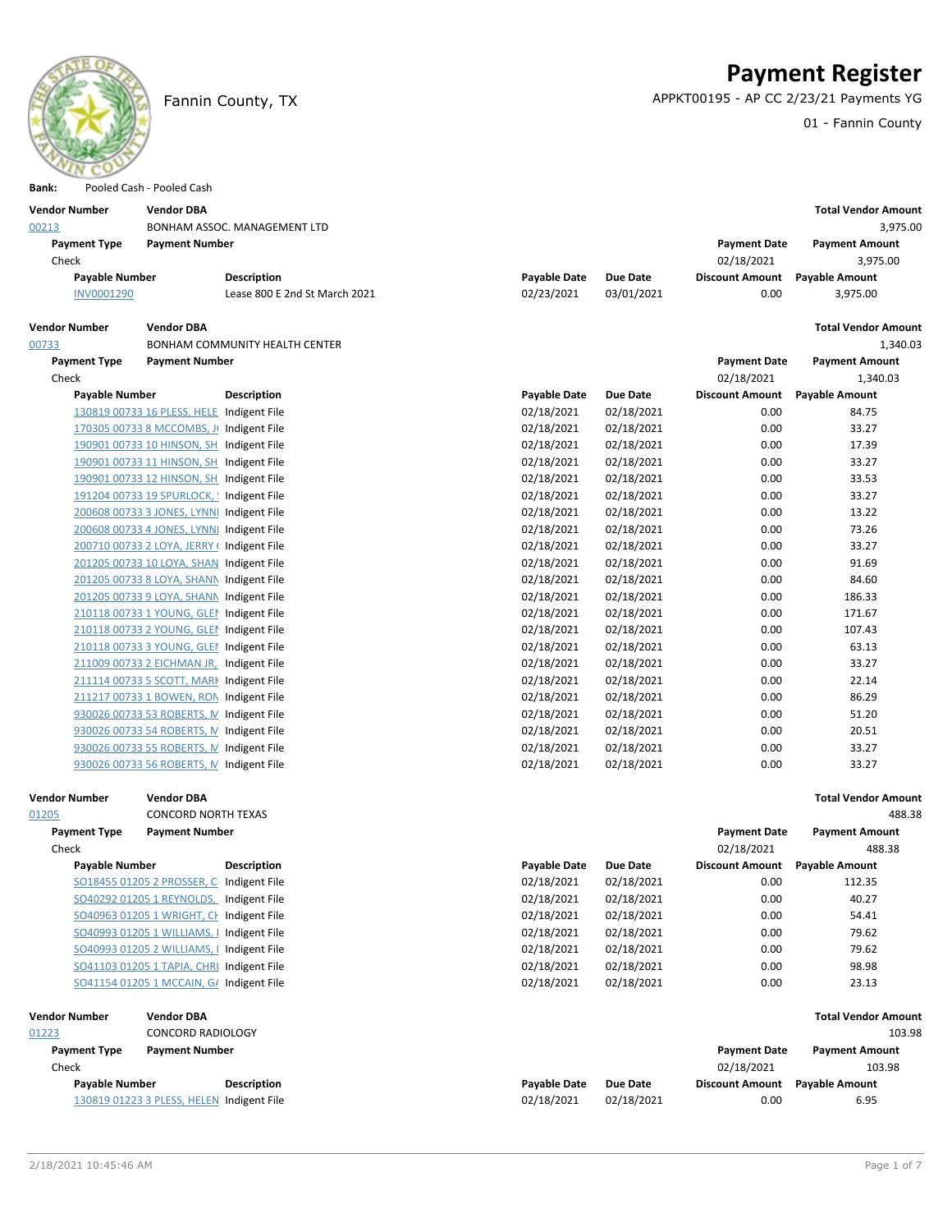

## **Payment Register**

Fannin County, TX APPKT00195 - AP CC 2/23/21 Payments YG

01 - Fannin County

| Bank:                 | Pooled Cash - Pooled Cash                                                            |                                       |                          |                          |                                |                            |
|-----------------------|--------------------------------------------------------------------------------------|---------------------------------------|--------------------------|--------------------------|--------------------------------|----------------------------|
| <b>Vendor Number</b>  | <b>Vendor DBA</b>                                                                    |                                       |                          |                          |                                | <b>Total Vendor Amount</b> |
| 00213                 |                                                                                      | BONHAM ASSOC. MANAGEMENT LTD          |                          |                          |                                | 3,975.00                   |
| <b>Payment Type</b>   | <b>Payment Number</b>                                                                |                                       |                          |                          | <b>Payment Date</b>            | <b>Payment Amount</b>      |
| Check                 |                                                                                      |                                       |                          |                          | 02/18/2021                     | 3,975.00                   |
| <b>Payable Number</b> |                                                                                      | Description                           | <b>Payable Date</b>      | <b>Due Date</b>          | <b>Discount Amount</b>         | <b>Payable Amount</b>      |
| INV0001290            |                                                                                      | Lease 800 E 2nd St March 2021         | 02/23/2021               | 03/01/2021               | 0.00                           | 3,975.00                   |
|                       |                                                                                      |                                       |                          |                          |                                |                            |
| <b>Vendor Number</b>  | <b>Vendor DBA</b>                                                                    |                                       |                          |                          |                                | <b>Total Vendor Amount</b> |
| 00733                 |                                                                                      | <b>BONHAM COMMUNITY HEALTH CENTER</b> |                          |                          |                                | 1,340.03                   |
| <b>Payment Type</b>   | <b>Payment Number</b>                                                                |                                       |                          |                          | <b>Payment Date</b>            | <b>Payment Amount</b>      |
| Check                 |                                                                                      |                                       |                          |                          | 02/18/2021                     | 1,340.03                   |
| <b>Payable Number</b> |                                                                                      | <b>Description</b>                    | Payable Date             | <b>Due Date</b>          | <b>Discount Amount</b>         | <b>Payable Amount</b>      |
|                       | 130819 00733 16 PLESS, HELE Indigent File                                            |                                       | 02/18/2021               | 02/18/2021               | 0.00                           | 84.75                      |
|                       | 170305 00733 8 MCCOMBS, J( Indigent File                                             |                                       | 02/18/2021               | 02/18/2021               | 0.00                           | 33.27                      |
|                       | 190901 00733 10 HINSON, SH Indigent File                                             |                                       | 02/18/2021               | 02/18/2021               | 0.00                           | 17.39                      |
|                       | 190901 00733 11 HINSON, SH Indigent File                                             |                                       | 02/18/2021               | 02/18/2021               | 0.00                           | 33.27                      |
|                       | 190901 00733 12 HINSON, SH Indigent File                                             |                                       | 02/18/2021               | 02/18/2021               | 0.00                           | 33.53                      |
|                       | 191204 00733 19 SPURLOCK, ! Indigent File                                            |                                       | 02/18/2021               | 02/18/2021               | 0.00                           | 33.27                      |
|                       | 200608 00733 3 JONES, LYNNI Indigent File                                            |                                       | 02/18/2021               | 02/18/2021               | 0.00                           | 13.22                      |
|                       | 200608 00733 4 JONES, LYNNI Indigent File                                            |                                       | 02/18/2021               | 02/18/2021               | 0.00                           | 73.26                      |
|                       | 200710 00733 2 LOYA, JERRY ( Indigent File                                           |                                       | 02/18/2021               | 02/18/2021               | 0.00                           | 33.27                      |
|                       | 201205 00733 10 LOYA, SHAN Indigent File                                             |                                       | 02/18/2021               | 02/18/2021               | 0.00                           | 91.69                      |
|                       | 201205 00733 8 LOYA, SHANN Indigent File                                             |                                       | 02/18/2021<br>02/18/2021 | 02/18/2021               | 0.00                           | 84.60                      |
|                       | 201205 00733 9 LOYA, SHANN Indigent File                                             |                                       |                          | 02/18/2021               | 0.00                           | 186.33<br>171.67           |
|                       | 210118 00733 1 YOUNG, GLEM Indigent File<br>210118 00733 2 YOUNG, GLEM Indigent File |                                       | 02/18/2021               | 02/18/2021               | 0.00<br>0.00                   | 107.43                     |
|                       | 210118 00733 3 YOUNG, GLEM Indigent File                                             |                                       | 02/18/2021<br>02/18/2021 | 02/18/2021<br>02/18/2021 | 0.00                           | 63.13                      |
|                       | 211009 00733 2 EICHMAN JR, Indigent File                                             |                                       | 02/18/2021               | 02/18/2021               | 0.00                           | 33.27                      |
|                       | 211114 00733 5 SCOTT, MARK Indigent File                                             |                                       | 02/18/2021               | 02/18/2021               | 0.00                           | 22.14                      |
|                       | 211217 00733 1 BOWEN, RON Indigent File                                              |                                       | 02/18/2021               | 02/18/2021               | 0.00                           | 86.29                      |
|                       | 930026 00733 53 ROBERTS, M Indigent File                                             |                                       | 02/18/2021               | 02/18/2021               | 0.00                           | 51.20                      |
|                       | 930026 00733 54 ROBERTS, M Indigent File                                             |                                       | 02/18/2021               | 02/18/2021               | 0.00                           | 20.51                      |
|                       | 930026 00733 55 ROBERTS, M Indigent File                                             |                                       | 02/18/2021               | 02/18/2021               | 0.00                           | 33.27                      |
|                       | 930026 00733 56 ROBERTS, M Indigent File                                             |                                       | 02/18/2021               | 02/18/2021               | 0.00                           | 33.27                      |
|                       |                                                                                      |                                       |                          |                          |                                |                            |
| <b>Vendor Number</b>  | <b>Vendor DBA</b>                                                                    |                                       |                          |                          |                                | <b>Total Vendor Amount</b> |
| 01205                 | <b>CONCORD NORTH TEXAS</b>                                                           |                                       |                          |                          |                                | 488.38                     |
| <b>Payment Type</b>   | <b>Payment Number</b>                                                                |                                       |                          |                          | <b>Payment Date</b>            | <b>Payment Amount</b>      |
| Check                 |                                                                                      |                                       |                          |                          | 02/18/2021                     | 488.38                     |
| <b>Payable Number</b> |                                                                                      | Description                           | Payable Date             | Due Date                 | Discount Amount Payable Amount |                            |
|                       | SO18455 01205 2 PROSSER, C Indigent File                                             |                                       | 02/18/2021               | 02/18/2021               | 0.00                           | 112.35                     |
|                       | SO40292 01205 1 REYNOLDS, Indigent File                                              |                                       | 02/18/2021               | 02/18/2021               | 0.00                           | 40.27                      |
|                       | SO40963 01205 1 WRIGHT, CH Indigent File                                             |                                       | 02/18/2021               | 02/18/2021               | 0.00                           | 54.41                      |
|                       | SO40993 01205 1 WILLIAMS, I Indigent File                                            |                                       | 02/18/2021               | 02/18/2021               | 0.00                           | 79.62                      |
|                       | SO40993 01205 2 WILLIAMS, I Indigent File                                            |                                       | 02/18/2021               | 02/18/2021               | 0.00                           | 79.62                      |
|                       | SO41103 01205 1 TAPIA, CHRI Indigent File                                            |                                       | 02/18/2021               | 02/18/2021               | 0.00                           | 98.98                      |
|                       | SO41154 01205 1 MCCAIN, G/ Indigent File                                             |                                       | 02/18/2021               | 02/18/2021               | 0.00                           | 23.13                      |
|                       |                                                                                      |                                       |                          |                          |                                |                            |
| <b>Vendor Number</b>  | <b>Vendor DBA</b>                                                                    |                                       |                          |                          |                                | <b>Total Vendor Amount</b> |
| 01223                 | <b>CONCORD RADIOLOGY</b>                                                             |                                       |                          |                          |                                | 103.98                     |
| <b>Payment Type</b>   | <b>Payment Number</b>                                                                |                                       |                          |                          | <b>Payment Date</b>            | <b>Payment Amount</b>      |
| Check                 |                                                                                      |                                       |                          |                          | 02/18/2021                     | 103.98                     |
| <b>Payable Number</b> |                                                                                      | Description                           | <b>Payable Date</b>      | <b>Due Date</b>          | <b>Discount Amount</b>         | <b>Payable Amount</b>      |
|                       | 130819 01223 3 PLESS, HELEN Indigent File                                            |                                       | 02/18/2021               | 02/18/2021               | 0.00                           | 6.95                       |
|                       |                                                                                      |                                       |                          |                          |                                |                            |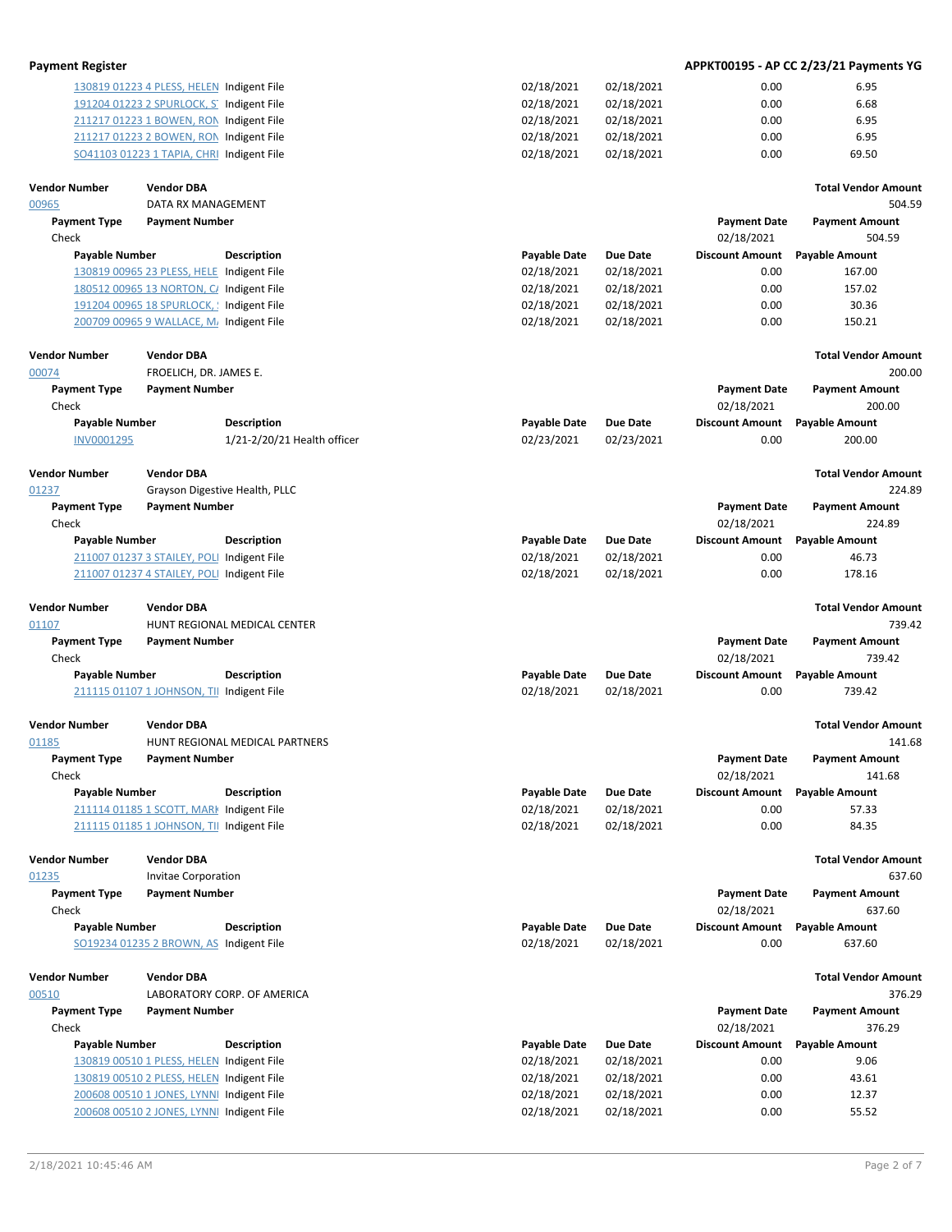| <b>Payment Register</b>       |                                             |                                |                     |                 |                                   | APPKT00195 - AP CC 2/23/21 Payments YG |
|-------------------------------|---------------------------------------------|--------------------------------|---------------------|-----------------|-----------------------------------|----------------------------------------|
|                               | 130819 01223 4 PLESS, HELEN Indigent File   |                                | 02/18/2021          | 02/18/2021      | 0.00                              | 6.95                                   |
|                               | 191204 01223 2 SPURLOCK, ST Indigent File   |                                | 02/18/2021          | 02/18/2021      | 0.00                              | 6.68                                   |
|                               | 211217 01223 1 BOWEN, RON Indigent File     |                                | 02/18/2021          | 02/18/2021      | 0.00                              | 6.95                                   |
|                               | 211217 01223 2 BOWEN, RON Indigent File     |                                | 02/18/2021          | 02/18/2021      | 0.00                              | 6.95                                   |
|                               | SO41103 01223 1 TAPIA, CHRI Indigent File   |                                | 02/18/2021          | 02/18/2021      | 0.00                              | 69.50                                  |
| <b>Vendor Number</b>          | <b>Vendor DBA</b>                           |                                |                     |                 |                                   | <b>Total Vendor Amount</b>             |
| 00965                         | DATA RX MANAGEMENT                          |                                |                     |                 |                                   | 504.59                                 |
| <b>Payment Type</b>           | <b>Payment Number</b>                       |                                |                     |                 | <b>Payment Date</b>               | <b>Payment Amount</b>                  |
| Check                         |                                             |                                |                     |                 | 02/18/2021                        | 504.59                                 |
| <b>Payable Number</b>         |                                             | <b>Description</b>             | <b>Payable Date</b> | <b>Due Date</b> | <b>Discount Amount</b>            | <b>Payable Amount</b>                  |
|                               | 130819 00965 23 PLESS, HELE Indigent File   |                                | 02/18/2021          | 02/18/2021      | 0.00                              | 167.00                                 |
|                               | 180512 00965 13 NORTON, C/ Indigent File    |                                | 02/18/2021          | 02/18/2021      | 0.00                              | 157.02                                 |
|                               | 191204 00965 18 SPURLOCK, ! Indigent File   |                                | 02/18/2021          | 02/18/2021      | 0.00                              | 30.36                                  |
|                               | 200709 00965 9 WALLACE, M. Indigent File    |                                | 02/18/2021          | 02/18/2021      | 0.00                              | 150.21                                 |
| <b>Vendor Number</b><br>00074 | <b>Vendor DBA</b><br>FROELICH, DR. JAMES E. |                                |                     |                 |                                   | <b>Total Vendor Amount</b><br>200.00   |
| <b>Payment Type</b>           | <b>Payment Number</b>                       |                                |                     |                 | <b>Payment Date</b>               | <b>Payment Amount</b>                  |
| Check                         |                                             |                                |                     |                 | 02/18/2021                        | 200.00                                 |
| <b>Payable Number</b>         |                                             | <b>Description</b>             | <b>Payable Date</b> | <b>Due Date</b> | <b>Discount Amount</b>            | <b>Payable Amount</b>                  |
| INV0001295                    |                                             | 1/21-2/20/21 Health officer    | 02/23/2021          | 02/23/2021      | 0.00                              | 200.00                                 |
|                               |                                             |                                |                     |                 |                                   |                                        |
| <b>Vendor Number</b>          | <b>Vendor DBA</b>                           |                                |                     |                 |                                   | <b>Total Vendor Amount</b>             |
| 01237                         |                                             | Grayson Digestive Health, PLLC |                     |                 |                                   | 224.89                                 |
| <b>Payment Type</b>           | <b>Payment Number</b>                       |                                |                     |                 | <b>Payment Date</b>               | <b>Payment Amount</b>                  |
| Check                         |                                             |                                |                     |                 | 02/18/2021                        | 224.89                                 |
| <b>Payable Number</b>         |                                             | <b>Description</b>             | <b>Payable Date</b> | <b>Due Date</b> | <b>Discount Amount</b>            | <b>Payable Amount</b>                  |
|                               | 211007 01237 3 STAILEY, POLI Indigent File  |                                | 02/18/2021          | 02/18/2021      | 0.00                              | 46.73                                  |
|                               | 211007 01237 4 STAILEY, POLI Indigent File  |                                | 02/18/2021          | 02/18/2021      | 0.00                              | 178.16                                 |
| <b>Vendor Number</b>          | <b>Vendor DBA</b>                           |                                |                     |                 |                                   | <b>Total Vendor Amount</b>             |
| 01107                         |                                             | HUNT REGIONAL MEDICAL CENTER   |                     |                 |                                   | 739.42                                 |
| <b>Payment Type</b>           | <b>Payment Number</b>                       |                                |                     |                 | <b>Payment Date</b>               | <b>Payment Amount</b>                  |
| Check                         |                                             |                                |                     |                 | 02/18/2021                        | 739.42                                 |
| <b>Payable Number</b>         |                                             | <b>Description</b>             | <b>Payable Date</b> | Due Date        | <b>Discount Amount</b>            | <b>Payable Amount</b>                  |
|                               | 211115 01107 1 JOHNSON, TII Indigent File   |                                | 02/18/2021          | 02/18/2021      | 0.00                              | 739.42                                 |
|                               |                                             |                                |                     |                 |                                   |                                        |
| <b>Vendor Number</b>          | <b>Vendor DBA</b>                           |                                |                     |                 |                                   | <b>Total Vendor Amount</b>             |
| 01185                         |                                             | HUNT REGIONAL MEDICAL PARTNERS |                     |                 |                                   | 141.68                                 |
| <b>Payment Type</b>           | <b>Payment Number</b>                       |                                |                     |                 | <b>Payment Date</b>               | <b>Payment Amount</b>                  |
| Check                         |                                             |                                |                     |                 | 02/18/2021                        | 141.68                                 |
| <b>Payable Number</b>         |                                             | <b>Description</b>             | <b>Payable Date</b> | <b>Due Date</b> | <b>Discount Amount</b>            | <b>Payable Amount</b>                  |
|                               | 211114 01185 1 SCOTT, MARK Indigent File    |                                | 02/18/2021          | 02/18/2021      | 0.00                              | 57.33                                  |
|                               | 211115 01185 1 JOHNSON, TII Indigent File   |                                | 02/18/2021          | 02/18/2021      | 0.00                              | 84.35                                  |
| <b>Vendor Number</b>          | <b>Vendor DBA</b>                           |                                |                     |                 |                                   | <b>Total Vendor Amount</b>             |
| 01235                         | <b>Invitae Corporation</b>                  |                                |                     |                 |                                   | 637.60                                 |
| <b>Payment Type</b>           | <b>Payment Number</b>                       |                                |                     |                 | <b>Payment Date</b>               | <b>Payment Amount</b>                  |
| Check                         |                                             |                                |                     |                 | 02/18/2021                        | 637.60                                 |
| <b>Payable Number</b>         |                                             | Description                    | <b>Payable Date</b> | <b>Due Date</b> | <b>Discount Amount</b>            | <b>Payable Amount</b>                  |
|                               | SO19234 01235 2 BROWN, AS Indigent File     |                                | 02/18/2021          | 02/18/2021      | 0.00                              | 637.60                                 |
|                               |                                             |                                |                     |                 |                                   |                                        |
| <b>Vendor Number</b>          | <b>Vendor DBA</b>                           |                                |                     |                 |                                   | <b>Total Vendor Amount</b>             |
| 00510                         |                                             | LABORATORY CORP. OF AMERICA    |                     |                 |                                   | 376.29                                 |
| <b>Payment Type</b><br>Check  | <b>Payment Number</b>                       |                                |                     |                 | <b>Payment Date</b><br>02/18/2021 | <b>Payment Amount</b><br>376.29        |

| Check                                     |                    |                     |            | 02/18/2021             | 376.29                |
|-------------------------------------------|--------------------|---------------------|------------|------------------------|-----------------------|
| Payable Number                            | <b>Description</b> | <b>Payable Date</b> | Due Date   | <b>Discount Amount</b> | <b>Payable Amount</b> |
| 130819 00510 1 PLESS, HELEN Indigent File |                    | 02/18/2021          | 02/18/2021 | 0.00                   | 9.06                  |
| 130819 00510 2 PLESS, HELEN Indigent File |                    | 02/18/2021          | 02/18/2021 | 0.00                   | 43.61                 |
| 200608 00510 1 JONES, LYNNI Indigent File |                    | 02/18/2021          | 02/18/2021 | 0.00                   | 12.37                 |
| 200608 00510 2 JONES, LYNNI Indigent File |                    | 02/18/2021          | 02/18/2021 | 0.00                   | 55.52                 |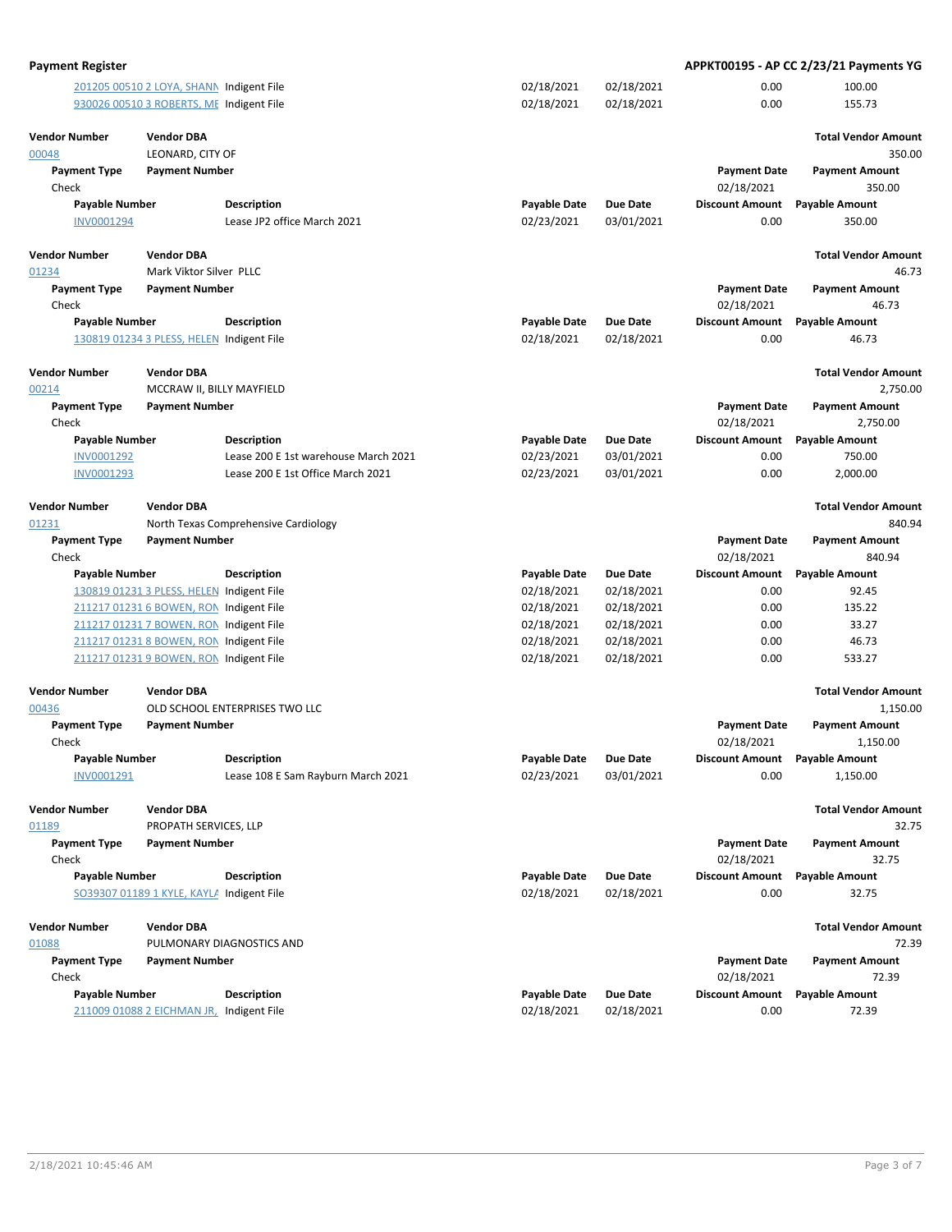| <b>Payment Register</b>       |                                           |                                      |                     |                 |                                   | APPKT00195 - AP CC 2/23/21 Payments YG |
|-------------------------------|-------------------------------------------|--------------------------------------|---------------------|-----------------|-----------------------------------|----------------------------------------|
|                               | 201205 00510 2 LOYA, SHANN Indigent File  |                                      | 02/18/2021          | 02/18/2021      | 0.00                              | 100.00                                 |
|                               | 930026 00510 3 ROBERTS, ME Indigent File  |                                      | 02/18/2021          | 02/18/2021      | 0.00                              | 155.73                                 |
|                               |                                           |                                      |                     |                 |                                   |                                        |
| <b>Vendor Number</b><br>00048 | <b>Vendor DBA</b><br>LEONARD, CITY OF     |                                      |                     |                 |                                   | <b>Total Vendor Amount</b><br>350.00   |
| <b>Payment Type</b>           | <b>Payment Number</b>                     |                                      |                     |                 | <b>Payment Date</b>               | <b>Payment Amount</b>                  |
| Check                         |                                           |                                      |                     |                 | 02/18/2021                        | 350.00                                 |
| <b>Payable Number</b>         |                                           | <b>Description</b>                   | <b>Payable Date</b> | Due Date        | <b>Discount Amount</b>            | <b>Payable Amount</b>                  |
| INV0001294                    |                                           | Lease JP2 office March 2021          | 02/23/2021          | 03/01/2021      | 0.00                              | 350.00                                 |
|                               |                                           |                                      |                     |                 |                                   |                                        |
| <b>Vendor Number</b>          | <b>Vendor DBA</b>                         |                                      |                     |                 |                                   | <b>Total Vendor Amount</b>             |
| 01234                         | Mark Viktor Silver PLLC                   |                                      |                     |                 |                                   | 46.73                                  |
| <b>Payment Type</b>           | <b>Payment Number</b>                     |                                      |                     |                 | <b>Payment Date</b>               | <b>Payment Amount</b>                  |
| Check                         |                                           |                                      |                     |                 | 02/18/2021                        | 46.73                                  |
| <b>Payable Number</b>         |                                           | <b>Description</b>                   | <b>Payable Date</b> | <b>Due Date</b> | <b>Discount Amount</b>            | <b>Payable Amount</b>                  |
|                               | 130819 01234 3 PLESS, HELEN Indigent File |                                      | 02/18/2021          | 02/18/2021      | 0.00                              | 46.73                                  |
|                               |                                           |                                      |                     |                 |                                   |                                        |
| <b>Vendor Number</b>          | <b>Vendor DBA</b>                         |                                      |                     |                 |                                   | <b>Total Vendor Amount</b>             |
| 00214                         | MCCRAW II, BILLY MAYFIELD                 |                                      |                     |                 |                                   | 2,750.00                               |
| <b>Payment Type</b><br>Check  | <b>Payment Number</b>                     |                                      |                     |                 | <b>Payment Date</b><br>02/18/2021 | <b>Payment Amount</b><br>2,750.00      |
| <b>Payable Number</b>         |                                           | <b>Description</b>                   | <b>Payable Date</b> | <b>Due Date</b> | <b>Discount Amount</b>            | <b>Payable Amount</b>                  |
| INV0001292                    |                                           | Lease 200 E 1st warehouse March 2021 | 02/23/2021          | 03/01/2021      | 0.00                              | 750.00                                 |
| INV0001293                    |                                           | Lease 200 E 1st Office March 2021    | 02/23/2021          | 03/01/2021      | 0.00                              | 2,000.00                               |
| <b>Vendor Number</b>          | <b>Vendor DBA</b>                         |                                      |                     |                 |                                   | <b>Total Vendor Amount</b>             |
| 01231                         |                                           | North Texas Comprehensive Cardiology |                     |                 |                                   | 840.94                                 |
| <b>Payment Type</b>           | <b>Payment Number</b>                     |                                      |                     |                 | <b>Payment Date</b>               | <b>Payment Amount</b>                  |
| Check                         |                                           |                                      |                     |                 | 02/18/2021                        | 840.94                                 |
| <b>Payable Number</b>         |                                           | <b>Description</b>                   | <b>Payable Date</b> | Due Date        | <b>Discount Amount</b>            | <b>Payable Amount</b>                  |
|                               | 130819 01231 3 PLESS, HELEN Indigent File |                                      | 02/18/2021          | 02/18/2021      | 0.00                              | 92.45                                  |
|                               | 211217 01231 6 BOWEN, RON Indigent File   |                                      | 02/18/2021          | 02/18/2021      | 0.00                              | 135.22                                 |
|                               | 211217 01231 7 BOWEN, RON Indigent File   |                                      | 02/18/2021          | 02/18/2021      | 0.00                              | 33.27                                  |
|                               | 211217 01231 8 BOWEN, RON Indigent File   |                                      | 02/18/2021          | 02/18/2021      | 0.00                              | 46.73                                  |
|                               | 211217 01231 9 BOWEN, RON Indigent File   |                                      | 02/18/2021          | 02/18/2021      | 0.00                              | 533.27                                 |
| <b>Vendor Number</b>          | <b>Vendor DBA</b>                         |                                      |                     |                 |                                   | <b>Total Vendor Amount</b>             |
| 00436                         |                                           | OLD SCHOOL ENTERPRISES TWO LLC       |                     |                 |                                   | 1,150.00                               |
| <b>Payment Type</b><br>Check  | <b>Payment Number</b>                     |                                      |                     |                 | <b>Payment Date</b><br>02/18/2021 | <b>Payment Amount</b><br>1,150.00      |
| Payable Number                |                                           | Description                          | <b>Payable Date</b> | <b>Due Date</b> | Discount Amount Payable Amount    |                                        |
| INV0001291                    |                                           | Lease 108 E Sam Rayburn March 2021   | 02/23/2021          | 03/01/2021      | 0.00                              | 1,150.00                               |
| <b>Vendor Number</b>          | <b>Vendor DBA</b>                         |                                      |                     |                 |                                   | <b>Total Vendor Amount</b>             |
| 01189                         | PROPATH SERVICES, LLP                     |                                      |                     |                 |                                   | 32.75                                  |
| <b>Payment Type</b>           | <b>Payment Number</b>                     |                                      |                     |                 | <b>Payment Date</b>               | <b>Payment Amount</b>                  |
| Check                         |                                           |                                      |                     |                 | 02/18/2021                        | 32.75                                  |
| <b>Payable Number</b>         |                                           | <b>Description</b>                   | <b>Payable Date</b> | <b>Due Date</b> | <b>Discount Amount</b>            | <b>Payable Amount</b>                  |
|                               | SO39307 01189 1 KYLE, KAYLA Indigent File |                                      | 02/18/2021          | 02/18/2021      | 0.00                              | 32.75                                  |
| <b>Vendor Number</b>          | <b>Vendor DBA</b>                         |                                      |                     |                 |                                   | <b>Total Vendor Amount</b>             |
| 01088                         |                                           | PULMONARY DIAGNOSTICS AND            |                     |                 |                                   | 72.39                                  |
| <b>Payment Type</b>           | <b>Payment Number</b>                     |                                      |                     |                 | <b>Payment Date</b>               | <b>Payment Amount</b>                  |
| Check                         |                                           |                                      |                     |                 | 02/18/2021                        | 72.39                                  |
| <b>Payable Number</b>         |                                           | <b>Description</b>                   | <b>Payable Date</b> | Due Date        | <b>Discount Amount</b>            | <b>Payable Amount</b>                  |
|                               | 211009 01088 2 EICHMAN JR,                | Indigent File                        | 02/18/2021          | 02/18/2021      | 0.00                              | 72.39                                  |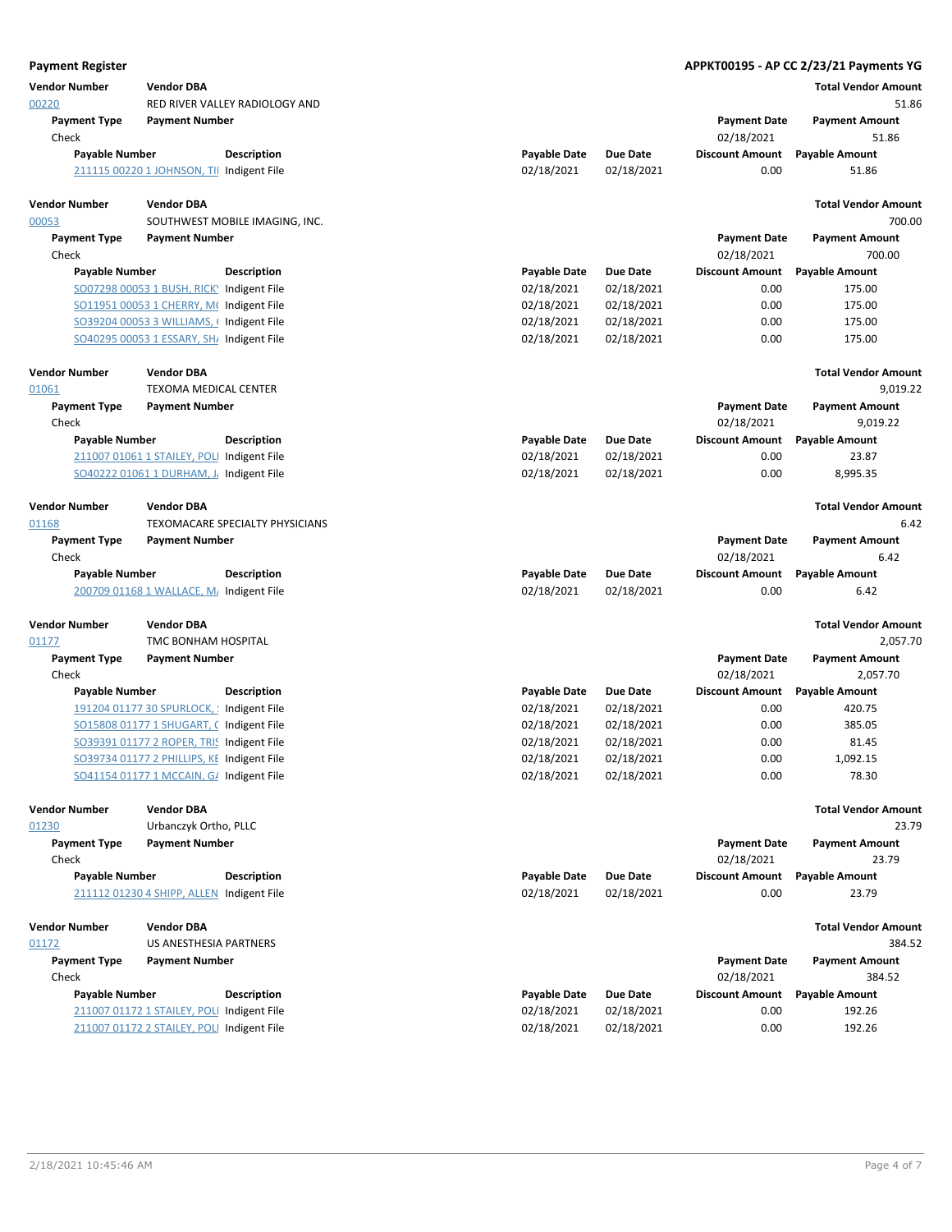| <b>Payment Register</b>      |                                                                                       |                                 |                                   |                          |                                   | APPKT00195 - AP CC 2/23/21 Payments YG |
|------------------------------|---------------------------------------------------------------------------------------|---------------------------------|-----------------------------------|--------------------------|-----------------------------------|----------------------------------------|
| <b>Vendor Number</b>         | <b>Vendor DBA</b>                                                                     |                                 |                                   |                          |                                   | <b>Total Vendor Amount</b>             |
| 00220                        |                                                                                       | RED RIVER VALLEY RADIOLOGY AND  |                                   |                          |                                   | 51.86                                  |
| <b>Payment Type</b><br>Check | <b>Payment Number</b>                                                                 |                                 |                                   |                          | <b>Payment Date</b><br>02/18/2021 | <b>Payment Amount</b><br>51.86         |
| <b>Payable Number</b>        |                                                                                       | Description                     | <b>Payable Date</b>               | <b>Due Date</b>          | <b>Discount Amount</b>            | <b>Payable Amount</b>                  |
|                              | 211115 00220 1 JOHNSON, TII Indigent File                                             |                                 | 02/18/2021                        | 02/18/2021               | 0.00                              | 51.86                                  |
| <b>Vendor Number</b>         | <b>Vendor DBA</b>                                                                     |                                 |                                   |                          |                                   | <b>Total Vendor Amount</b>             |
| 00053                        |                                                                                       | SOUTHWEST MOBILE IMAGING, INC.  |                                   |                          |                                   | 700.00                                 |
| <b>Payment Type</b>          | <b>Payment Number</b>                                                                 |                                 |                                   |                          | <b>Payment Date</b>               | <b>Payment Amount</b>                  |
| Check                        |                                                                                       |                                 |                                   |                          | 02/18/2021                        | 700.00                                 |
| <b>Payable Number</b>        | SO07298 00053 1 BUSH, RICK) Indigent File                                             | <b>Description</b>              | <b>Payable Date</b><br>02/18/2021 | Due Date<br>02/18/2021   | <b>Discount Amount</b><br>0.00    | <b>Payable Amount</b><br>175.00        |
|                              | SO11951 00053 1 CHERRY, M(Indigent File                                               |                                 | 02/18/2021                        | 02/18/2021               | 0.00                              | 175.00                                 |
|                              | SO39204 00053 3 WILLIAMS, (Indigent File                                              |                                 | 02/18/2021                        | 02/18/2021               | 0.00                              | 175.00                                 |
|                              | SO40295 00053 1 ESSARY, SH/ Indigent File                                             |                                 | 02/18/2021                        | 02/18/2021               | 0.00                              | 175.00                                 |
| <b>Vendor Number</b>         | <b>Vendor DBA</b>                                                                     |                                 |                                   |                          |                                   | <b>Total Vendor Amount</b>             |
| 01061                        | TEXOMA MEDICAL CENTER                                                                 |                                 |                                   |                          |                                   | 9,019.22                               |
| <b>Payment Type</b><br>Check | <b>Payment Number</b>                                                                 |                                 |                                   |                          | <b>Payment Date</b><br>02/18/2021 | <b>Payment Amount</b><br>9,019.22      |
| <b>Payable Number</b>        |                                                                                       | Description                     | <b>Payable Date</b>               | Due Date                 | <b>Discount Amount</b>            | <b>Payable Amount</b>                  |
|                              | 211007 01061 1 STAILEY, POLI Indigent File                                            |                                 | 02/18/2021                        | 02/18/2021               | 0.00                              | 23.87                                  |
|                              | SO40222 01061 1 DURHAM, J. Indigent File                                              |                                 | 02/18/2021                        | 02/18/2021               | 0.00                              | 8,995.35                               |
| <b>Vendor Number</b>         | <b>Vendor DBA</b>                                                                     |                                 |                                   |                          |                                   | <b>Total Vendor Amount</b>             |
| 01168                        |                                                                                       | TEXOMACARE SPECIALTY PHYSICIANS |                                   |                          |                                   | 6.42                                   |
| <b>Payment Type</b>          | <b>Payment Number</b>                                                                 |                                 |                                   |                          | <b>Payment Date</b>               | <b>Payment Amount</b>                  |
| Check                        |                                                                                       |                                 |                                   |                          | 02/18/2021                        | 6.42                                   |
| <b>Payable Number</b>        |                                                                                       | Description                     | <b>Payable Date</b>               | <b>Due Date</b>          | <b>Discount Amount</b><br>0.00    | <b>Payable Amount</b>                  |
|                              | 200709 01168 1 WALLACE, M. Indigent File                                              |                                 | 02/18/2021                        | 02/18/2021               |                                   | 6.42                                   |
| <b>Vendor Number</b>         | <b>Vendor DBA</b>                                                                     |                                 |                                   |                          |                                   | <b>Total Vendor Amount</b>             |
| 01177                        | TMC BONHAM HOSPITAL                                                                   |                                 |                                   |                          |                                   | 2,057.70                               |
| <b>Payment Type</b>          | <b>Payment Number</b>                                                                 |                                 |                                   |                          | <b>Payment Date</b>               | <b>Payment Amount</b>                  |
| Check                        |                                                                                       |                                 |                                   |                          | 02/18/2021                        | 2.057.70                               |
| <b>Payable Number</b>        |                                                                                       | <b>Description</b>              | <b>Payable Date</b>               | Due Date                 | <b>Discount Amount</b>            | <b>Payable Amount</b>                  |
|                              | 191204 01177 30 SPURLOCK, ! Indigent File<br>SO15808 01177 1 SHUGART, C Indigent File |                                 | 02/18/2021<br>02/18/2021          | 02/18/2021<br>02/18/2021 | 0.00<br>0.00                      | 420.75<br>385.05                       |
|                              | SO39391 01177 2 ROPER, TRIS Indigent File                                             |                                 | 02/18/2021                        | 02/18/2021               | 0.00                              | 81.45                                  |
|                              | SO39734 01177 2 PHILLIPS, KE Indigent File                                            |                                 | 02/18/2021                        | 02/18/2021               | 0.00                              | 1,092.15                               |
|                              | SO41154 01177 1 MCCAIN, G/ Indigent File                                              |                                 | 02/18/2021                        | 02/18/2021               | 0.00                              | 78.30                                  |
| <b>Vendor Number</b>         | <b>Vendor DBA</b>                                                                     |                                 |                                   |                          |                                   | <b>Total Vendor Amount</b>             |
| 01230                        | Urbanczyk Ortho, PLLC                                                                 |                                 |                                   |                          |                                   | 23.79                                  |
| <b>Payment Type</b>          | <b>Payment Number</b>                                                                 |                                 |                                   |                          | <b>Payment Date</b>               | <b>Payment Amount</b>                  |
| Check                        |                                                                                       |                                 |                                   |                          | 02/18/2021                        | 23.79                                  |
| <b>Payable Number</b>        | 211112 01230 4 SHIPP, ALLEN Indigent File                                             | <b>Description</b>              | <b>Payable Date</b><br>02/18/2021 | Due Date<br>02/18/2021   | <b>Discount Amount</b><br>0.00    | <b>Payable Amount</b><br>23.79         |
| <b>Vendor Number</b>         | <b>Vendor DBA</b>                                                                     |                                 |                                   |                          |                                   | <b>Total Vendor Amount</b>             |
| 01172                        | US ANESTHESIA PARTNERS                                                                |                                 |                                   |                          |                                   | 384.52                                 |
| <b>Payment Type</b>          | <b>Payment Number</b>                                                                 |                                 |                                   |                          | <b>Payment Date</b>               | <b>Payment Amount</b>                  |
| Check                        |                                                                                       |                                 |                                   |                          | 02/18/2021                        | 384.52                                 |
| <b>Payable Number</b>        |                                                                                       | <b>Description</b>              | <b>Payable Date</b>               | Due Date                 | <b>Discount Amount</b>            | <b>Payable Amount</b>                  |
|                              | 211007 01172 1 STAILEY, POLI Indigent File                                            |                                 | 02/18/2021                        | 02/18/2021               | 0.00                              | 192.26                                 |
|                              | 211007 01172 2 STAILEY, POLI Indigent File                                            |                                 | 02/18/2021                        | 02/18/2021               | 0.00                              | 192.26                                 |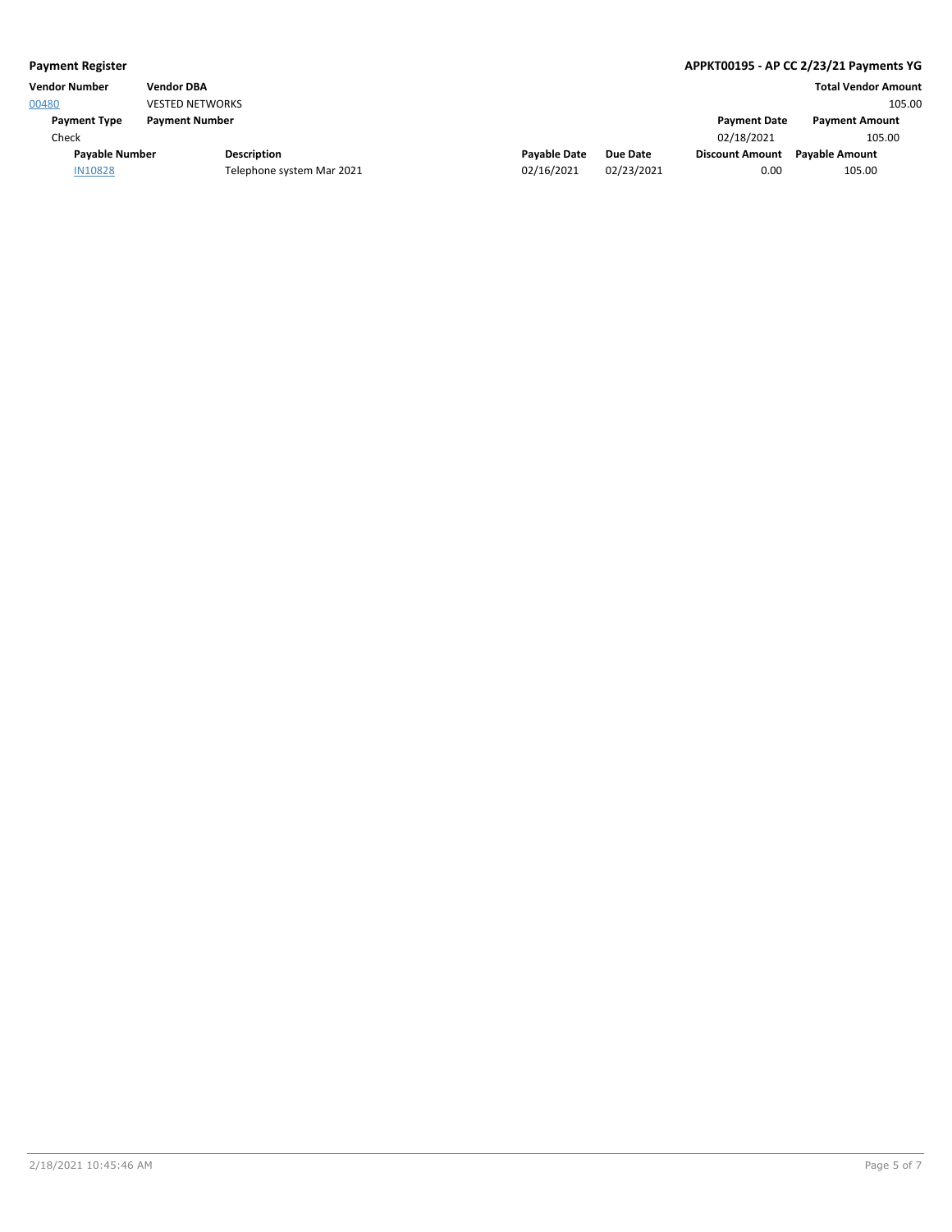| <b>Payment Register</b> |                        | APPKT00195 - AP CC 2/23/21 Payments YG |  |                     |            |                        |                            |
|-------------------------|------------------------|----------------------------------------|--|---------------------|------------|------------------------|----------------------------|
| <b>Vendor Number</b>    | <b>Vendor DBA</b>      |                                        |  |                     |            |                        | <b>Total Vendor Amount</b> |
| 00480                   | <b>VESTED NETWORKS</b> |                                        |  |                     |            |                        | 105.00                     |
| <b>Payment Type</b>     | <b>Payment Number</b>  |                                        |  |                     |            | <b>Payment Date</b>    | <b>Payment Amount</b>      |
| Check                   |                        |                                        |  |                     |            | 02/18/2021             | 105.00                     |
| <b>Pavable Number</b>   |                        | <b>Description</b>                     |  | <b>Pavable Date</b> | Due Date   | <b>Discount Amount</b> | <b>Pavable Amount</b>      |
| <b>IN10828</b>          |                        | Telephone system Mar 2021              |  | 02/16/2021          | 02/23/2021 | 0.00                   | 105.00                     |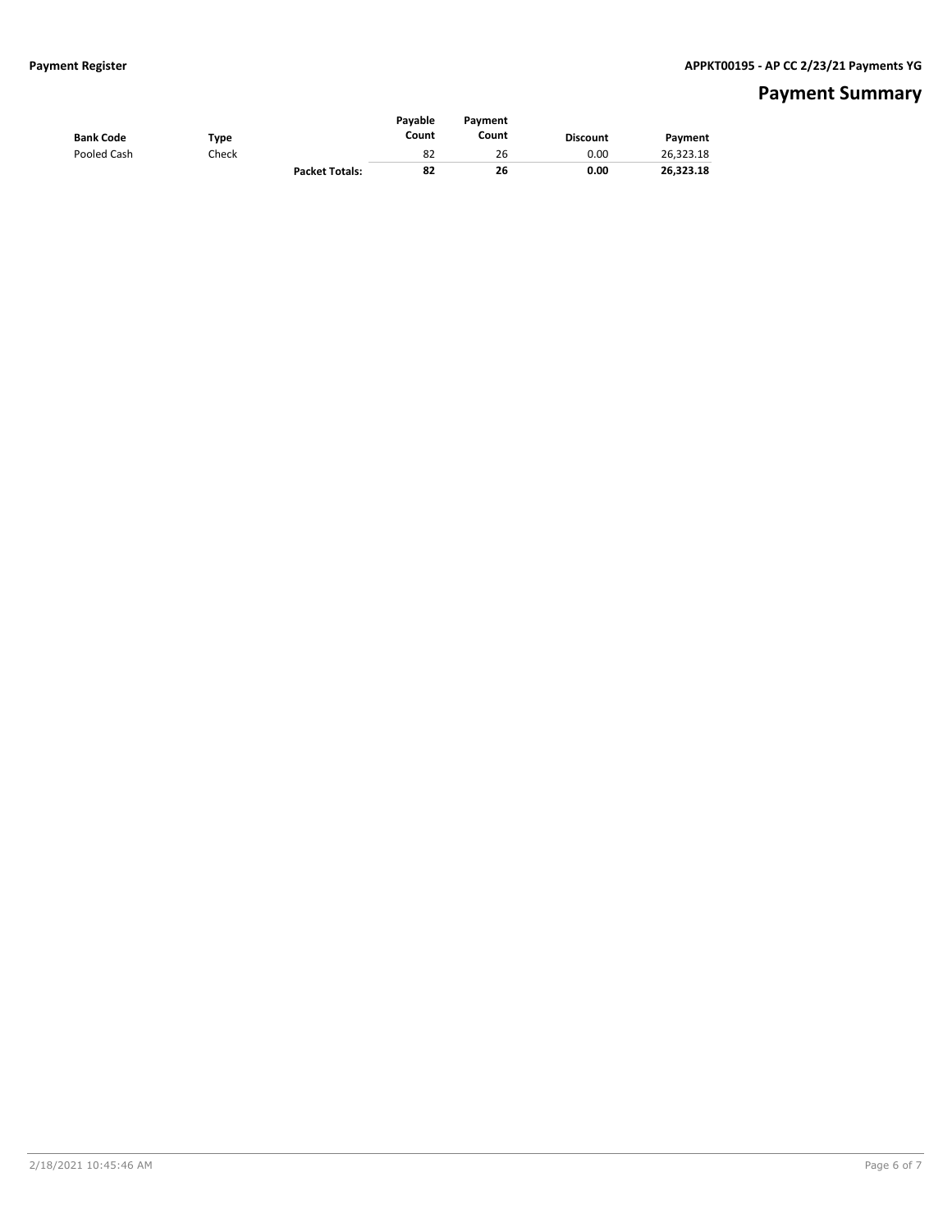## **Payment Summary**

| <b>Bank Code</b> | Type  |                       | Pavable<br>Count | Payment<br>Count | <b>Discount</b> | Payment   |
|------------------|-------|-----------------------|------------------|------------------|-----------------|-----------|
| Pooled Cash      | Check |                       | 82               | 26               | 0.00            | 26,323.18 |
|                  |       | <b>Packet Totals:</b> | 82               | 26               | 0.00            | 26.323.18 |